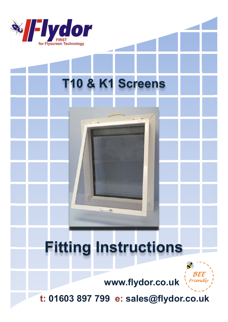

# T10 & K1 Screens

# **Fitting Instructions**

To



www.flydor.co.uk

t: 01603 897 799 e: sales@flydor.co.uk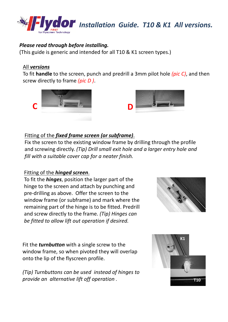

## *Please read through before installing.*

(This guide is generic and intended for all T10 & K1 screen types.)

#### All *versions*

To fit **handle** to the screen, punch and predrill a 3mm pilot hole *(pic C)*, and then screw directly to frame *(pic D )*.





# Fitting of the *fixed frame screen (or subframe)*.

Fix the screen to the existing window frame by drilling through the profile and screwing directly. *(Tip) Drill small exit hole and a larger entry hole and fill with a suitable cover cap for a neater finish.*

## Fitting of the *hinged screen*.

To fit the *hinges*, position the larger part of the hinge to the screen and attach by punching and pre-drilling as above. Offer the screen to the window frame (or subframe) and mark where the remaining part of the hinge is to be fitted. Predrill and screw directly to the frame. *(Tip) Hinges can be fitted to allow lift out operation if desired.*



Fit the *turnbutton* with a single screw to the window frame, so when pivoted they will overlap onto the lip of the flyscreen profile.

*(Tip) Turnbuttons can be used instead of hinges to provide an alternative lift off operation .*